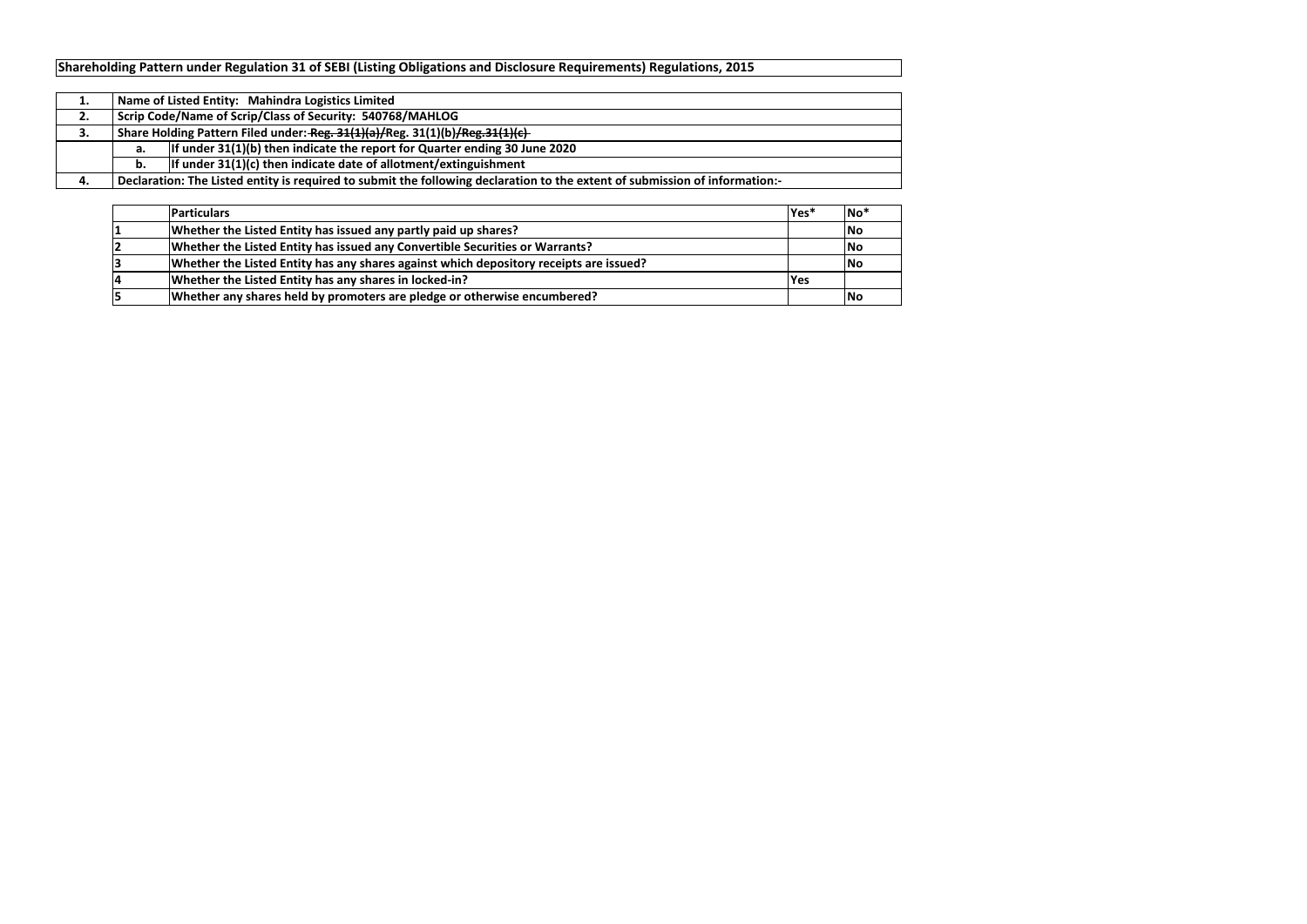| <b>Particulars</b>                                                                     | lYes*       | No <sup>*</sup> |
|----------------------------------------------------------------------------------------|-------------|-----------------|
| Whether the Listed Entity has issued any partly paid up shares?                        |             | No              |
| Whether the Listed Entity has issued any Convertible Securities or Warrants?           |             | <b>No</b>       |
| Whether the Listed Entity has any shares against which depository receipts are issued? |             | No              |
| Whether the Listed Entity has any shares in locked-in?                                 | <b>IYes</b> |                 |
| Whether any shares held by promoters are pledge or otherwise encumbered?               |             | No              |

| ı. |                                                                                                                             | Name of Listed Entity: Mahindra Logistics Limited |  |  |  |  |  |  |
|----|-----------------------------------------------------------------------------------------------------------------------------|---------------------------------------------------|--|--|--|--|--|--|
| 2. | <sup>1</sup> Scrip Code/Name of Scrip/Class of Security: 540768/MAHLOG                                                      |                                                   |  |  |  |  |  |  |
| З. | Share Holding Pattern Filed under: Reg. 31(1)(a)/Reg. 31(1)(b)/Reg. 31(1)(c)                                                |                                                   |  |  |  |  |  |  |
|    | If under $31(1)(b)$ then indicate the report for Quarter ending 30 June 2020<br>а.                                          |                                                   |  |  |  |  |  |  |
|    | If under $31(1)(c)$ then indicate date of allotment/extinguishment<br>b.                                                    |                                                   |  |  |  |  |  |  |
|    | Declaration: The Listed entity is required to submit the following declaration to the extent of submission of information:- |                                                   |  |  |  |  |  |  |

# **Shareholding Pattern under Regulation 31 of SEBI (Listing Obligations and Disclosure Requirements) Regulations, 2015**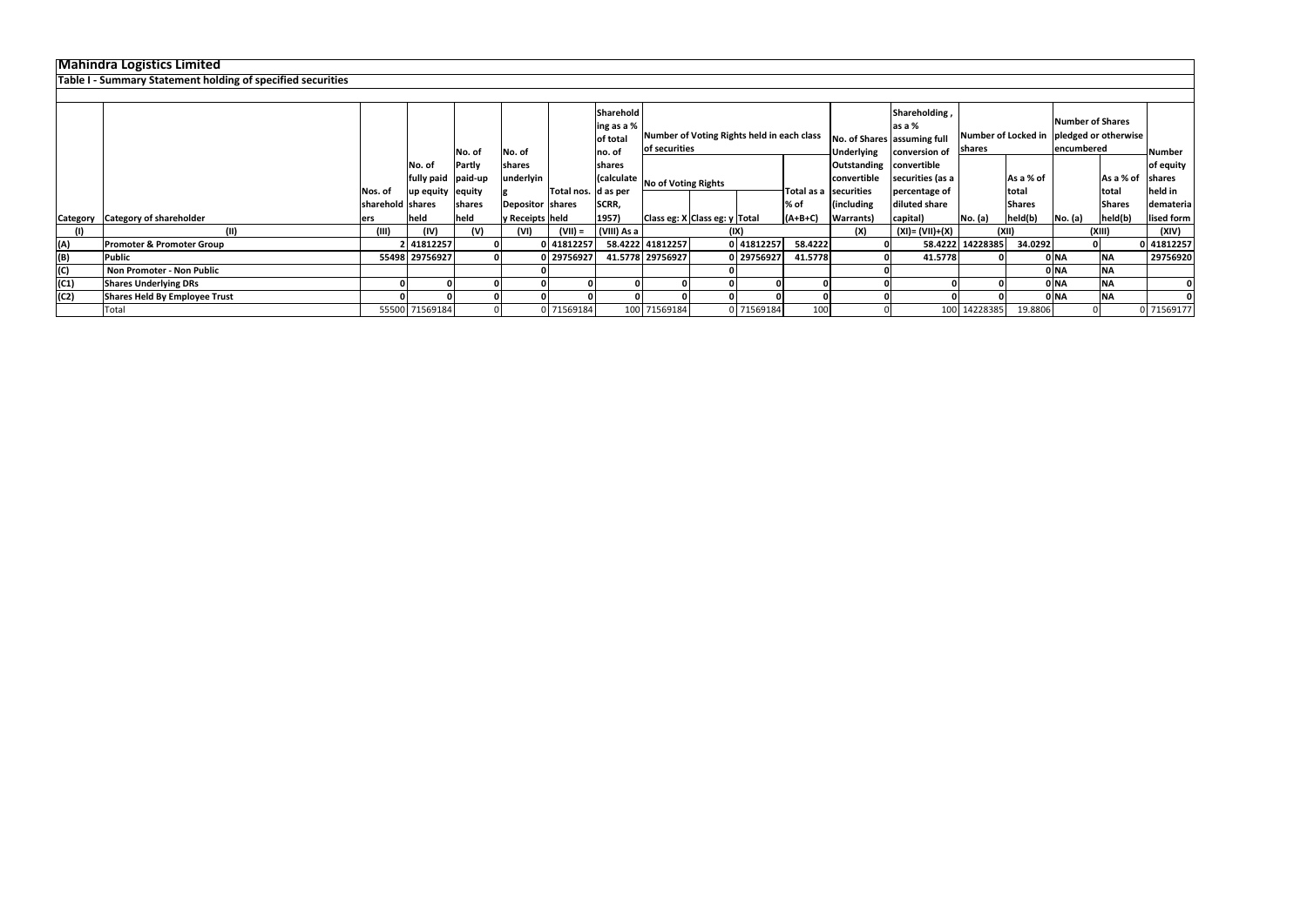|                 | <b>Mahindra Logistics Limited</b>                           |                  |                  |                  |                  |                       |                                     |                                                             |  |            |                                        |                                       |                    |                  |                                                                               |         |               |                            |
|-----------------|-------------------------------------------------------------|------------------|------------------|------------------|------------------|-----------------------|-------------------------------------|-------------------------------------------------------------|--|------------|----------------------------------------|---------------------------------------|--------------------|------------------|-------------------------------------------------------------------------------|---------|---------------|----------------------------|
|                 | Table I - Summary Statement holding of specified securities |                  |                  |                  |                  |                       |                                     |                                                             |  |            |                                        |                                       |                    |                  |                                                                               |         |               |                            |
|                 |                                                             |                  |                  |                  |                  |                       |                                     |                                                             |  |            |                                        |                                       |                    |                  |                                                                               |         |               |                            |
|                 |                                                             |                  |                  |                  |                  |                       | Sharehold<br>ing as a %<br>of total | Number of Voting Rights held in each class<br>of securities |  |            | las a %<br>No. of Shares assuming full | Shareholding,                         | shares             |                  | Number of Shares<br>Number of Locked in  pledged or otherwise  <br>encumbered |         |               |                            |
|                 |                                                             |                  | No. of           | No. of<br>Partly | No. of<br>shares |                       | no. of<br>shares                    |                                                             |  |            |                                        | Underlying<br>Outstanding convertible | conversion of      |                  |                                                                               |         |               | <b>Number</b><br>of equity |
|                 |                                                             |                  | fully paid       | paid-up          | nderlyin         |                       | (calculate                          | No of Voting Rights                                         |  |            |                                        | convertible                           | securities (as a   |                  | As a % of                                                                     |         | As a % of     | <b>Shares</b>              |
|                 |                                                             | Nos. of          | up equity equity |                  |                  | Total nos.   d as per |                                     |                                                             |  |            | Total as a securities                  |                                       | percentage of      |                  | <b>Itotal</b>                                                                 |         | total         | held in                    |
|                 |                                                             | sharehold shares |                  | shares           | Depositor shares |                       | SCRR,                               |                                                             |  |            | % of                                   | including                             | diluted share      |                  | <b>Shares</b>                                                                 |         | <b>Shares</b> | demateria                  |
| <b>Category</b> | <b>Category of shareholder</b>                              | lers             | held             | held             | y Receipts held  |                       | 1957)                               | Class eg: X Class eg: y Total                               |  |            | $(A+B+C)$                              | Warrants)                             | capital)           | No. (a)          | held(b)                                                                       | No. (a) | held(b)       | lised form                 |
|                 | (II)                                                        | (III)            | (IV)             | (V)              | (VI)             | $(VII) =$             | (VIII) As a                         |                                                             |  | (IX)       |                                        | (X)                                   | $(XI) = (VII)+(X)$ |                  | (XII)                                                                         |         | (XIII)        | (XIV)                      |
| (A)             | <b>Promoter &amp; Promoter Group</b>                        |                  | 41812257         |                  |                  | 0 41812257            |                                     | 58.4222 41812257                                            |  | 0 41812257 | 58.4222                                |                                       |                    | 58.4222 14228385 | 34.0292                                                                       |         |               | 0 41812257                 |
| (B)             | <b>Public</b>                                               |                  | 55498 29756927   |                  |                  | 0 29756927            |                                     | 41.5778 29756927                                            |  | 0 29756927 | 41.5778                                |                                       | 41.5778            |                  |                                                                               | 0 NA    |               | 29756920                   |
|                 | Non Promoter - Non Public                                   |                  |                  |                  |                  |                       |                                     |                                                             |  |            |                                        |                                       |                    |                  |                                                                               | 0 NA    | <b>NA</b>     |                            |
| (C1)            | <b>Shares Underlying DRs</b>                                |                  |                  |                  |                  |                       |                                     |                                                             |  |            |                                        |                                       |                    |                  |                                                                               | 0 NA    | <b>NA</b>     |                            |
| (C2)            | Shares Held By Employee Trust                               |                  |                  |                  |                  |                       |                                     |                                                             |  |            |                                        |                                       |                    |                  |                                                                               | INA)    | <b>NA</b>     |                            |
|                 | Total                                                       |                  | 55500 71569184   |                  |                  | 0 71569184            |                                     | 100 71569184                                                |  | 0 71569184 | 100                                    |                                       |                    | 100 14228385     | 19.8806                                                                       |         |               | 0 71569177                 |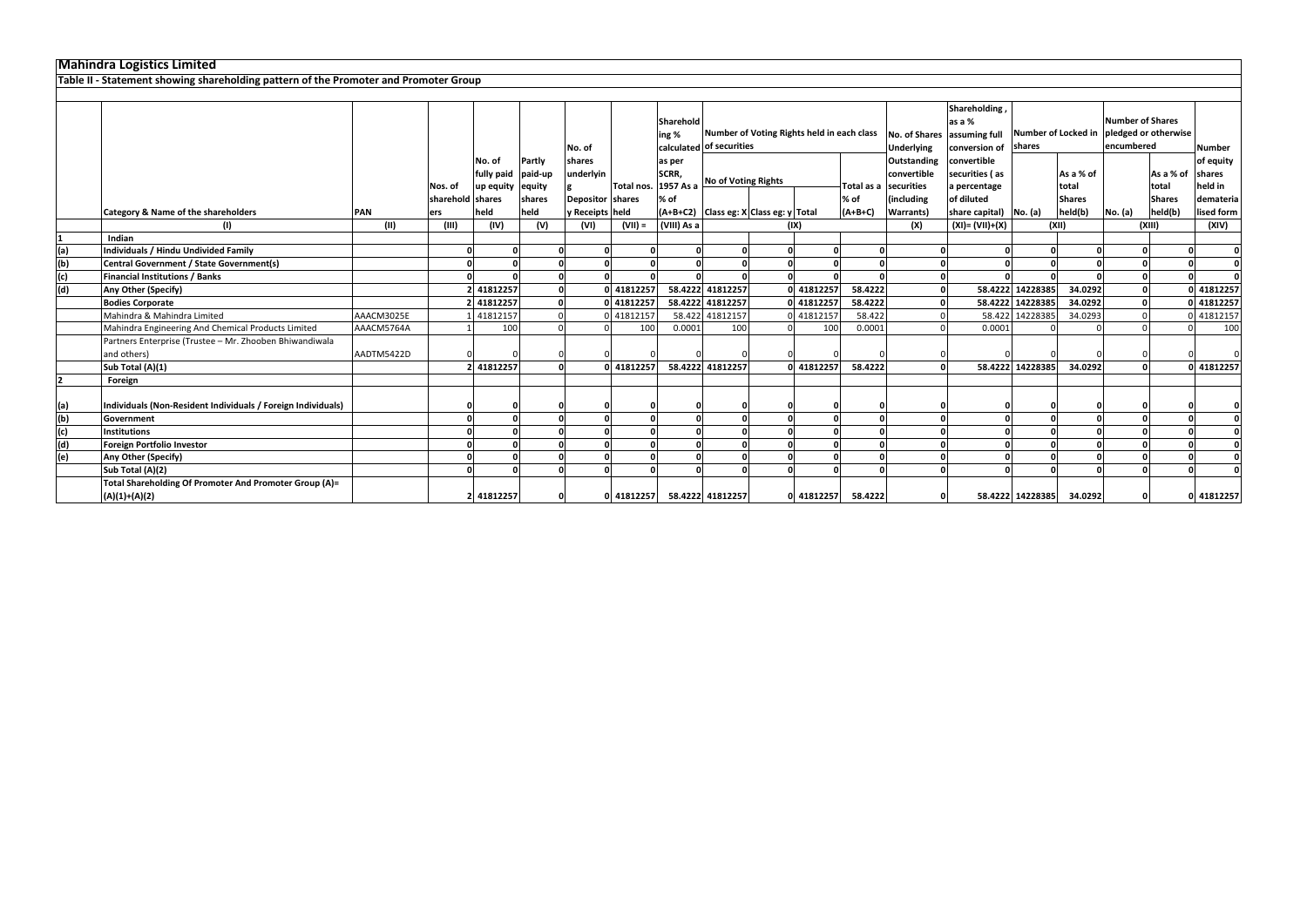|                                                                         |                                                                                                                                                |                    |                     |                                                                                                                                          | No. of                                                               |           | Sharehold<br>ing %                  |                                                                         |                                                                          |                                                                                                                                    |                                                                                           |                                                                                            | Shareholding<br>as a %<br>assuming full<br>conversion of                                                                              | shares        | <b>Number of Shares</b><br>encumbered                                                                          |                                                                                                       |                                     | <b>Number</b>                               |
|-------------------------------------------------------------------------|------------------------------------------------------------------------------------------------------------------------------------------------|--------------------|---------------------|------------------------------------------------------------------------------------------------------------------------------------------|----------------------------------------------------------------------|-----------|-------------------------------------|-------------------------------------------------------------------------|--------------------------------------------------------------------------|------------------------------------------------------------------------------------------------------------------------------------|-------------------------------------------------------------------------------------------|--------------------------------------------------------------------------------------------|---------------------------------------------------------------------------------------------------------------------------------------|---------------|----------------------------------------------------------------------------------------------------------------|-------------------------------------------------------------------------------------------------------|-------------------------------------|---------------------------------------------|
|                                                                         |                                                                                                                                                | Nos. of            | No. of<br>up equity | Partly<br>equity<br>shares                                                                                                               | shares<br>underlyin                                                  |           | as per<br>SCRR,<br>% of             |                                                                         |                                                                          |                                                                                                                                    | Total as a<br>% of                                                                        | <b>Outstanding</b><br>convertible<br>securities<br>(including                              | convertible<br>securities (as<br>a percentage<br>of diluted                                                                           |               | As a % of<br>total<br><b>Shares</b>                                                                            |                                                                                                       | As a % of<br>total<br><b>Shares</b> | of equity<br>shares<br>held in<br>demateria |
|                                                                         |                                                                                                                                                | ers                |                     |                                                                                                                                          |                                                                      |           |                                     |                                                                         |                                                                          |                                                                                                                                    |                                                                                           |                                                                                            |                                                                                                                                       |               |                                                                                                                |                                                                                                       |                                     | lised form                                  |
|                                                                         |                                                                                                                                                |                    | (IV)                |                                                                                                                                          | (VI)                                                                 | $(VII) =$ |                                     |                                                                         |                                                                          | (IX)                                                                                                                               |                                                                                           |                                                                                            |                                                                                                                                       |               |                                                                                                                |                                                                                                       |                                     | (XIV)                                       |
| Indian                                                                  |                                                                                                                                                |                    |                     |                                                                                                                                          |                                                                      |           |                                     |                                                                         |                                                                          |                                                                                                                                    |                                                                                           |                                                                                            |                                                                                                                                       |               |                                                                                                                |                                                                                                       |                                     |                                             |
| Individuals / Hindu Undivided Family                                    |                                                                                                                                                |                    |                     |                                                                                                                                          |                                                                      |           |                                     |                                                                         |                                                                          |                                                                                                                                    |                                                                                           |                                                                                            |                                                                                                                                       |               |                                                                                                                |                                                                                                       |                                     | $\mathbf 0$                                 |
|                                                                         |                                                                                                                                                |                    |                     |                                                                                                                                          |                                                                      |           |                                     |                                                                         |                                                                          |                                                                                                                                    |                                                                                           |                                                                                            |                                                                                                                                       |               |                                                                                                                |                                                                                                       |                                     | $\Omega$                                    |
| <b>Financial Institutions / Banks</b>                                   |                                                                                                                                                |                    |                     |                                                                                                                                          |                                                                      |           |                                     |                                                                         |                                                                          |                                                                                                                                    |                                                                                           |                                                                                            |                                                                                                                                       |               |                                                                                                                |                                                                                                       |                                     |                                             |
| Any Other (Specify)                                                     |                                                                                                                                                |                    |                     |                                                                                                                                          |                                                                      |           |                                     |                                                                         |                                                                          |                                                                                                                                    |                                                                                           |                                                                                            |                                                                                                                                       |               | 34.0292                                                                                                        |                                                                                                       |                                     | 0 41812257                                  |
| <b>Bodies Corporate</b>                                                 |                                                                                                                                                |                    | 41812257            |                                                                                                                                          |                                                                      |           |                                     |                                                                         |                                                                          | 0 41812257                                                                                                                         |                                                                                           |                                                                                            |                                                                                                                                       |               |                                                                                                                |                                                                                                       |                                     | 0 41812257                                  |
| Mahindra & Mahindra Limited                                             | AAACM3025E                                                                                                                                     |                    | 41812157            |                                                                                                                                          |                                                                      |           |                                     |                                                                         |                                                                          | 0 41812157                                                                                                                         |                                                                                           |                                                                                            |                                                                                                                                       |               | 34.0293                                                                                                        |                                                                                                       |                                     | 0 41812157                                  |
| Mahindra Engineering And Chemical Products Limited                      | AAACM5764A                                                                                                                                     |                    |                     |                                                                                                                                          |                                                                      |           |                                     |                                                                         |                                                                          |                                                                                                                                    |                                                                                           |                                                                                            |                                                                                                                                       |               |                                                                                                                |                                                                                                       |                                     | 100                                         |
| Partners Enterprise (Trustee - Mr. Zhooben Bhiwandiwala<br>and others)  | AADTM5422D                                                                                                                                     |                    |                     |                                                                                                                                          |                                                                      |           |                                     |                                                                         |                                                                          |                                                                                                                                    |                                                                                           |                                                                                            |                                                                                                                                       |               |                                                                                                                |                                                                                                       |                                     |                                             |
|                                                                         |                                                                                                                                                |                    |                     |                                                                                                                                          |                                                                      |           |                                     |                                                                         |                                                                          |                                                                                                                                    |                                                                                           |                                                                                            |                                                                                                                                       |               |                                                                                                                |                                                                                                       |                                     | 0 41812257                                  |
|                                                                         |                                                                                                                                                |                    |                     |                                                                                                                                          |                                                                      |           |                                     |                                                                         |                                                                          |                                                                                                                                    |                                                                                           |                                                                                            |                                                                                                                                       |               |                                                                                                                |                                                                                                       |                                     |                                             |
| Individuals (Non-Resident Individuals / Foreign Individuals)            |                                                                                                                                                |                    |                     |                                                                                                                                          |                                                                      |           |                                     |                                                                         |                                                                          |                                                                                                                                    |                                                                                           |                                                                                            |                                                                                                                                       |               |                                                                                                                |                                                                                                       |                                     |                                             |
|                                                                         |                                                                                                                                                |                    |                     |                                                                                                                                          |                                                                      |           |                                     |                                                                         |                                                                          |                                                                                                                                    |                                                                                           |                                                                                            |                                                                                                                                       |               |                                                                                                                |                                                                                                       |                                     |                                             |
| <b>Institutions</b>                                                     |                                                                                                                                                |                    |                     |                                                                                                                                          |                                                                      |           |                                     |                                                                         |                                                                          |                                                                                                                                    |                                                                                           |                                                                                            |                                                                                                                                       |               |                                                                                                                |                                                                                                       |                                     |                                             |
| Foreign Portfolio Investor                                              |                                                                                                                                                |                    |                     |                                                                                                                                          |                                                                      |           |                                     |                                                                         |                                                                          |                                                                                                                                    |                                                                                           |                                                                                            |                                                                                                                                       |               |                                                                                                                |                                                                                                       |                                     | $\mathbf 0$                                 |
| Any Other (Specify)                                                     |                                                                                                                                                |                    |                     |                                                                                                                                          |                                                                      |           |                                     |                                                                         |                                                                          |                                                                                                                                    |                                                                                           |                                                                                            |                                                                                                                                       |               |                                                                                                                |                                                                                                       |                                     | $\mathbf 0$                                 |
| Sub Total (A)(2)                                                        |                                                                                                                                                |                    |                     |                                                                                                                                          |                                                                      |           |                                     |                                                                         |                                                                          |                                                                                                                                    |                                                                                           |                                                                                            |                                                                                                                                       |               |                                                                                                                |                                                                                                       |                                     |                                             |
| Total Shareholding Of Promoter And Promoter Group (A)=<br>(A)(1)+(A)(2) |                                                                                                                                                |                    |                     |                                                                                                                                          |                                                                      |           |                                     |                                                                         |                                                                          |                                                                                                                                    |                                                                                           |                                                                                            |                                                                                                                                       |               | 34.0292                                                                                                        |                                                                                                       |                                     | 0 41812257                                  |
|                                                                         | <b>Category &amp; Name of the shareholders</b><br><b>Central Government / State Government(s)</b><br>Sub Total (A)(1)<br>Foreign<br>Government | <b>PAN</b><br>(II) | (III)               | Table II - Statement showing shareholding pattern of the Promoter and Promoter Group<br>sharehold shares<br>held<br>0<br>2 41812257<br>n | fully paid paid-up<br>held<br>(V)<br>2 41812257<br>100<br>2 41812257 |           | Depositor shares<br>y Receipts held | 0 41812257<br>0 41812257<br>41812157<br>100<br>0 41812257<br>0 41812257 | Total nos. 1957 As a<br>(VIII) As a<br>$\mathbf 0$<br>0.0001<br>$\Omega$ | calculated of securities<br>58.4222 41812257<br>58.4222 41812257<br>58.422 41812157<br>100<br>58.4222 41812257<br>58.4222 41812257 | <b>No of Voting Rights</b><br> (A+B+C2)   Class eg: X   Class eg: y   Total<br>0 41812257 | Number of Voting Rights held in each class<br>$(A+B+C)$<br>0 41812257<br>100<br>0 41812257 | <b>Underlying</b><br><b>Warrants</b> )<br>(X)<br>58.4222<br>58.4222<br>58.422<br>0.0001<br>58.4222<br>$\Omega$<br>$\Omega$<br>58.4222 | No. of Shares | share capital) No. (a)<br>(XI)= (VII)+(X)<br>58.4222 14228385<br>58.422 14228385<br>0.0001<br>58.4222 14228385 | Number of Locked in<br>held(b)<br>(XII)<br>58.4222 14228385<br>34.0292<br>34.0292<br>58.4222 14228385 | <b>No.</b> (a)                      | pledged or otherwise<br>held(b)<br>(XIII)   |

┑

# **Mahindra Logistics Limited**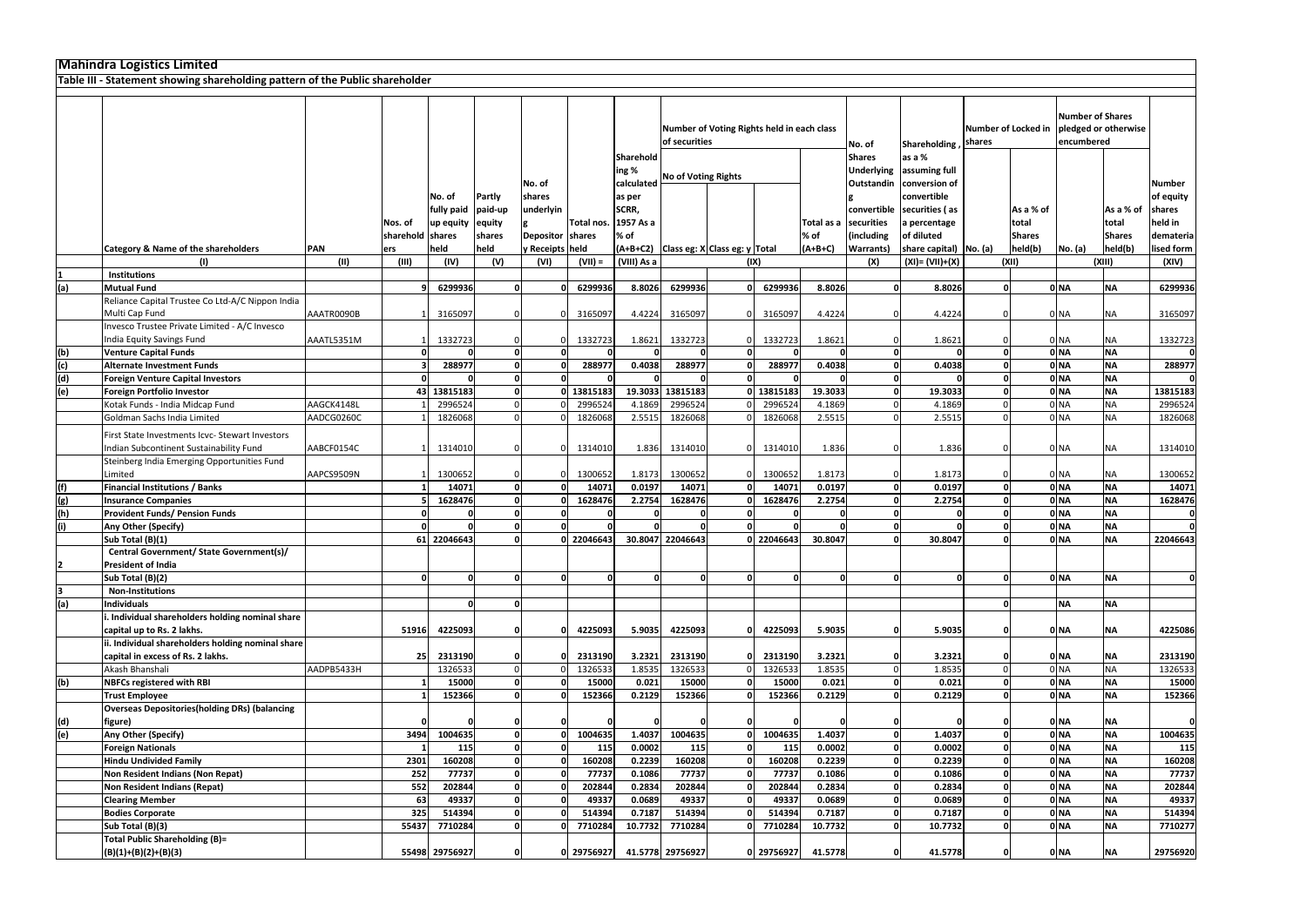|     | <b>Mahindra Logistics Limited</b>                                                      |            |                  |                |          |                  |            |             |                            |                                            |            |                       |                  |                            |                     |               |                                       |                      |             |
|-----|----------------------------------------------------------------------------------------|------------|------------------|----------------|----------|------------------|------------|-------------|----------------------------|--------------------------------------------|------------|-----------------------|------------------|----------------------------|---------------------|---------------|---------------------------------------|----------------------|-------------|
|     | Table III - Statement showing shareholding pattern of the Public shareholder           |            |                  |                |          |                  |            |             |                            |                                            |            |                       |                  |                            |                     |               |                                       |                      |             |
|     |                                                                                        |            |                  |                |          |                  |            |             | of securities              | Number of Voting Rights held in each class |            |                       | No. of           | Shareholding, shares       | Number of Locked in |               | <b>Number of Shares</b><br>encumbered | pledged or otherwise |             |
|     |                                                                                        |            |                  |                |          |                  |            | Sharehold   |                            |                                            |            |                       | <b>Shares</b>    | as a %                     |                     |               |                                       |                      |             |
|     |                                                                                        |            |                  |                |          |                  |            | ing %       | <b>No of Voting Rights</b> |                                            |            |                       |                  | Underlying assuming full   |                     |               |                                       |                      |             |
|     |                                                                                        |            |                  |                |          | No. of           |            | calculated  |                            |                                            |            |                       |                  | Outstandin conversion of   |                     |               |                                       |                      | Number      |
|     |                                                                                        |            |                  | No. of         | Partly   | shares           |            | as per      |                            |                                            |            |                       |                  | convertible                |                     |               |                                       |                      | of equity   |
|     |                                                                                        |            |                  | fully paid     | paid-up  | underlyin        |            | SCRR,       |                            |                                            |            |                       |                  | convertible securities (as |                     | As a % of     |                                       | As a % of            | shares      |
|     |                                                                                        |            | Nos. of          | up equity      | equity   |                  | Total nos. | 1957 As a   |                            |                                            |            | Total as a securities |                  | a percentage               |                     | total         |                                       | total                | held in     |
|     |                                                                                        |            | sharehold shares |                | shares   | <b>Depositor</b> | shares     | % of        |                            |                                            |            | % of                  | (including       | of diluted                 |                     | <b>Shares</b> |                                       | <b>Shares</b>        | demateria   |
|     | <b>Category &amp; Name of the shareholders</b>                                         | <b>PAN</b> | ers              | held           | held     | y Receipts held  |            | $(A+B+C2)$  |                            | Class eg: X Class eg: y Total              |            | $(A+B+C)$             | <b>Warrants)</b> | share capital)   No. (a)   |                     | held(b)       | No. (a)                               | held(b)              | lised form  |
|     |                                                                                        | (11)       | (III)            | (IV)           | (V)      | (VI)             | $(VII) =$  | (VIII) As a |                            |                                            | (IX)       |                       | (X)              | $(XI) = (VII)+(X)$         |                     | (XII)         |                                       | (XIII)               | (XIV)       |
|     | <b>Institutions</b>                                                                    |            |                  |                |          |                  |            |             |                            |                                            |            |                       | <sub>n</sub>     |                            |                     |               |                                       |                      |             |
| (a) | <b>Mutual Fund</b>                                                                     |            |                  | 6299936        | $\Omega$ |                  | 6299936    | 8.8026      | 6299936                    |                                            | 6299936    | 8.8026                |                  | 8.8026                     | $\Omega$            |               | 0 <sub>NA</sub>                       | <b>NA</b>            | 6299936     |
|     | Reliance Capital Trustee Co Ltd-A/C Nippon India                                       |            |                  |                |          |                  |            |             |                            |                                            |            |                       |                  |                            |                     |               |                                       |                      |             |
|     | Multi Cap Fund<br>Invesco Trustee Private Limited - A/C Invesco                        | AAATR0090B |                  | 3165097        |          |                  | 3165097    | 4.4224      | 3165097                    |                                            | 3165097    | 4.4224                |                  | 4.4224                     |                     |               | 0 NA                                  | NA                   | 3165097     |
|     | India Equity Savings Fund                                                              | AAATL5351M |                  | 1332723        |          |                  | 1332723    | 1.8621      | 1332723                    |                                            | 1332723    | 1.8621                |                  | 1.8621                     |                     |               | 0 NA                                  | NA                   | 1332723     |
| (b) | <b>Venture Capital Funds</b>                                                           |            |                  |                | $\Omega$ |                  |            |             |                            | $\Omega$                                   |            |                       |                  |                            | $\Omega$            |               | 0 <sub>NA</sub>                       | <b>NA</b>            | $\mathbf 0$ |
| (c) | <b>Alternate Investment Funds</b>                                                      |            |                  | 288977         |          |                  | 288977     | 0.4038      | 288977                     | $\Omega$                                   | 288977     | 0.4038                |                  | 0.4038                     |                     |               | 0 NA                                  | <b>NA</b>            | 288977      |
| (d) | <b>Foreign Venture Capital Investors</b>                                               |            |                  |                |          |                  |            |             |                            |                                            |            |                       |                  |                            |                     |               | 0 <sub>NA</sub>                       | <b>NA</b>            | $\Omega$    |
| (e) | Foreign Portfolio Investor                                                             |            |                  | 43 13815183    |          |                  | 13815183   | 19.3033     | 13815183                   |                                            | 0 13815183 | 19.3033               |                  | 19.3033                    |                     |               | 0 <sub>NA</sub>                       | <b>NA</b>            | 13815183    |
|     | Kotak Funds - India Midcap Fund                                                        | AAGCK4148L |                  | 2996524        |          |                  | 2996524    | 4.1869      | 2996524                    |                                            | 2996524    | 4.1869                |                  | 4.1869                     |                     |               | 0 <sub>NA</sub>                       | <b>NA</b>            | 2996524     |
|     | Goldman Sachs India Limited                                                            | AADCG0260C |                  | 1826068        |          |                  | 1826068    | 2.551       | 1826068                    |                                            | 1826068    | 2.5515                |                  | 2.5515                     |                     |               | 0 <sub>NA</sub>                       | <b>NA</b>            | 1826068     |
|     | First State Investments Icvc- Stewart Investors                                        |            |                  |                |          |                  |            |             |                            |                                            |            |                       |                  |                            |                     |               |                                       |                      |             |
|     | Indian Subcontinent Sustainability Fund                                                | AABCF0154C |                  | 1314010        |          |                  | 1314010    | 1.836       | 1314010                    |                                            | 1314010    | 1.836                 |                  | 1.836                      |                     |               | 0 NA                                  | NA.                  | 1314010     |
|     | Steinberg India Emerging Opportunities Fund                                            |            |                  |                |          |                  |            |             |                            |                                            |            |                       |                  |                            |                     |               |                                       |                      |             |
|     | Limited                                                                                | AAPCS9509N |                  | 1300652        |          |                  | 1300652    | 1.8173      | 1300652                    |                                            | 1300652    | 1.8173                |                  | 1.8173                     |                     |               | 0 NA                                  | NА                   | 1300652     |
| (f) | <b>Financial Institutions / Banks</b>                                                  |            |                  | 14071          | $\Omega$ |                  | 14071      | 0.0197      | 14071                      |                                            | 14071      | 0.0197                | $\Omega$         | 0.0197                     |                     |               | 0 <sub>NA</sub>                       | <b>NA</b>            | 14071       |
| (g) | <b>Insurance Companies</b>                                                             |            |                  | 1628476        |          |                  | 1628476    | 2.2754      | 1628476                    |                                            | 1628476    | 2.2754                |                  | 2.2754                     |                     |               | 0 <sub>NA</sub>                       | <b>NA</b>            | 1628476     |
| (h) | <b>Provident Funds/ Pension Funds</b>                                                  |            |                  |                |          |                  |            |             |                            |                                            |            |                       |                  |                            |                     |               | 0 <sub>NA</sub>                       | <b>NA</b>            |             |
| (i) | Any Other (Specify)                                                                    |            |                  |                |          |                  |            |             |                            |                                            |            |                       |                  |                            |                     |               | 0 <sub>NA</sub>                       | <b>NA</b>            |             |
|     | Sub Total (B)(1)                                                                       |            |                  | 61 22046643    |          |                  | 22046643   |             | 30.8047 22046643           |                                            | 0 22046643 | 30.8047               |                  | 30.8047                    |                     |               | 0 <sub>NA</sub>                       | <b>NA</b>            | 22046643    |
|     | Central Government/ State Government(s)/                                               |            |                  |                |          |                  |            |             |                            |                                            |            |                       |                  |                            |                     |               |                                       |                      |             |
| 12  | <b>President of India</b>                                                              |            |                  |                |          |                  |            |             |                            |                                            |            |                       |                  |                            |                     |               |                                       |                      |             |
|     | Sub Total (B)(2)                                                                       |            |                  | $\Omega$       | $\Omega$ | $\Omega$         | 0l         |             | n                          | $\Omega$                                   | $\Omega$   | $\Omega$              | $\Omega$         | $\Omega$                   |                     |               | 0 <sub>NA</sub>                       | <b>NA</b>            | $\mathbf 0$ |
| 3   | <b>Non-Institutions</b>                                                                |            |                  |                |          |                  |            |             |                            |                                            |            |                       |                  |                            |                     |               |                                       |                      |             |
| (a) | <b>Individuals</b>                                                                     |            |                  |                |          |                  |            |             |                            |                                            |            |                       |                  |                            |                     |               | <b>NA</b>                             | <b>NA</b>            |             |
|     | . Individual shareholders holding nominal share                                        |            |                  |                |          |                  |            |             |                            |                                            |            |                       |                  |                            |                     |               |                                       |                      |             |
|     | capital up to Rs. 2 lakhs.                                                             |            | 51916            | 4225093        |          |                  | 4225093    | 5.9035      | 4225093                    |                                            | 4225093    | 5.9035                |                  | 5.9035                     | ΩI                  |               | 0 NA                                  | <b>NA</b>            | 4225086     |
|     | ii. Individual shareholders holding nominal share<br>capital in excess of Rs. 2 lakhs. |            | 25               | 2313190        |          |                  | 2313190    | 3.2321      | 2313190                    |                                            | 2313190    | 3.2321                |                  | 3.2321                     |                     |               | 0 NA                                  | NA                   | 2313190     |
|     | Akash Bhanshali                                                                        | AADPB5433H |                  | 1326533        |          |                  | 1326533    | 1.853       | 1326533                    |                                            | 1326533    | 1.8535                |                  | 1.8535                     |                     |               | 0 <sub>NA</sub>                       | <b>NA</b>            | 1326533     |
| (b) | <b>NBFCs registered with RBI</b>                                                       |            |                  | 15000          | $\Omega$ |                  | 15000      | 0.021       | 15000                      |                                            | 15000      | 0.021                 |                  | 0.021                      |                     |               | 0 <sub>NA</sub>                       | <b>NA</b>            | 15000       |
|     | <b>Trust Employee</b>                                                                  |            |                  | 152366         |          |                  | 152366     | 0.2129      | 152366                     |                                            | 152366     | 0.2129                |                  | 0.2129                     |                     |               | 0 <sub>NA</sub>                       | <b>NA</b>            | 152366      |
|     | <b>Overseas Depositories (holding DRs) (balancing</b>                                  |            |                  |                |          |                  |            |             |                            |                                            |            |                       |                  |                            |                     |               |                                       |                      |             |
| (d) | figure)                                                                                |            |                  |                |          |                  |            |             |                            |                                            |            |                       |                  |                            |                     |               | 0 NA                                  | NA                   | $\mathbf 0$ |
| (e) | Any Other (Specify)                                                                    |            | 3494             | 1004635        | $\Omega$ |                  | 1004635    | 1.4037      | 1004635                    | ΩI                                         | 1004635    | 1.4037                | ΩL               | 1.4037                     |                     |               | 0 <sub>NA</sub>                       | <b>NA</b>            | 1004635     |
|     | <b>Foreign Nationals</b>                                                               |            |                  | 115            |          |                  | 115        | 0.0002      | 115                        |                                            | 115        | 0.0002                |                  | 0.0002                     |                     |               | 0 <sub>NA</sub>                       | <b>NA</b>            | 115         |
|     | <b>Hindu Undivided Family</b>                                                          |            | 2301             | 160208         |          |                  | 160208     | 0.2239      | 160208                     |                                            | 160208     | 0.2239                |                  | 0.2239                     |                     |               | 0 <sub>NA</sub>                       | <b>NA</b>            | 160208      |
|     | Non Resident Indians (Non Repat)                                                       |            | 252              | 77737          |          |                  | 77737      | 0.1086      | 77737                      |                                            | 77737      | 0.1086                |                  | 0.1086                     |                     |               | 0 <sub>NA</sub>                       | <b>NA</b>            | 77737       |
|     | <b>Non Resident Indians (Repat)</b>                                                    |            | 552              | 202844         |          |                  | 202844     | 0.2834      | 202844                     |                                            | 202844     | 0.2834                |                  | 0.2834                     | $\Omega$            |               | 0 <sub>NA</sub>                       | <b>NA</b>            | 202844      |
|     | <b>Clearing Member</b>                                                                 |            | 63               | 49337          |          |                  | 49337      | 0.0689      | 49337                      |                                            | 49337      | 0.0689                |                  | 0.0689                     | $\Omega$            |               | 0 <sub>NA</sub>                       | <b>NA</b>            | 49337       |
|     | <b>Bodies Corporate</b>                                                                |            | 325              | 514394         | $\Omega$ |                  | 514394     | 0.7187      | 514394                     |                                            | 514394     | 0.7187                |                  | 0.7187                     | $\Omega$            |               | 0 <sub>NA</sub>                       | <b>NA</b>            | 514394      |
|     | Sub Total (B)(3)                                                                       |            | 55437            | 7710284        |          |                  | 7710284    | 10.7732     | 7710284                    |                                            | 7710284    | 10.7732               |                  | 10.7732                    |                     |               | 0 <sub>NA</sub>                       | <b>NA</b>            | 7710277     |
|     | <b>Total Public Shareholding (B)=</b>                                                  |            |                  |                |          |                  |            |             |                            |                                            |            |                       |                  |                            |                     |               |                                       |                      |             |
|     | $(B)(1)+(B)(2)+(B)(3)$                                                                 |            |                  | 55498 29756927 | 0        |                  | 0 29756927 |             | 41.5778 29756927           |                                            | 0 29756927 | 41.5778               | οl               | 41.5778                    | $\Omega$            |               | 0 <sub>NA</sub>                       | <b>NA</b>            | 29756920    |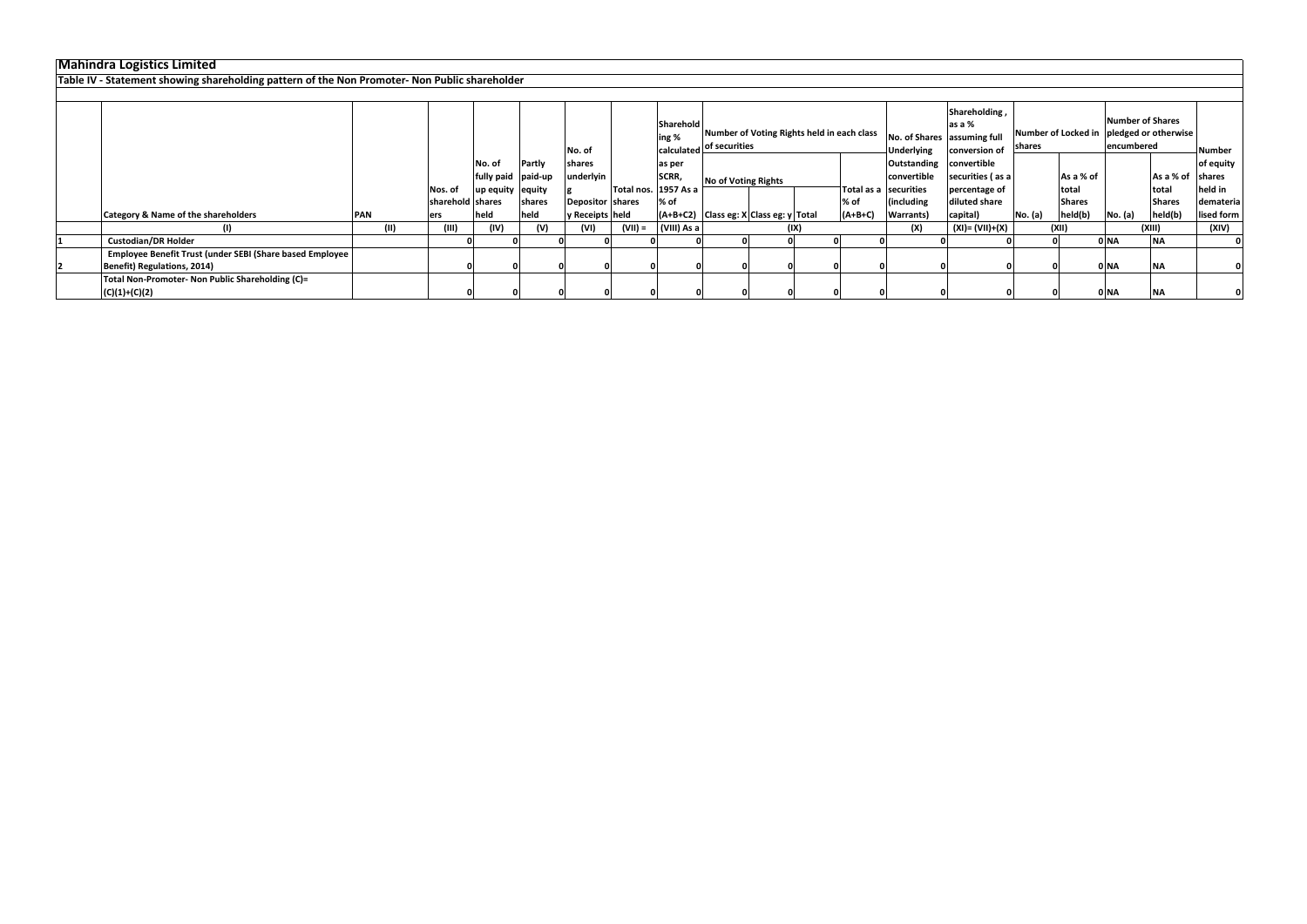### **Mahindra Logistics Limited**

| Mahindra Logistics Limited                                                                    |            |      |                  |                    |        |                   |           |                      |                                            |      |            |                   |                                              |         |               |                                            |               |               |
|-----------------------------------------------------------------------------------------------|------------|------|------------------|--------------------|--------|-------------------|-----------|----------------------|--------------------------------------------|------|------------|-------------------|----------------------------------------------|---------|---------------|--------------------------------------------|---------------|---------------|
| Table IV - Statement showing shareholding pattern of the Non Promoter- Non Public shareholder |            |      |                  |                    |        |                   |           |                      |                                            |      |            |                   |                                              |         |               |                                            |               |               |
|                                                                                               |            |      |                  |                    |        |                   |           |                      |                                            |      |            |                   |                                              |         |               |                                            |               |               |
|                                                                                               |            |      |                  |                    |        |                   |           |                      |                                            |      |            |                   | Shareholding,                                |         |               | <b>Number of Shares</b>                    |               |               |
|                                                                                               |            |      |                  |                    |        |                   |           | Sharehold            | Number of Voting Rights held in each class |      |            |                   | as a %                                       |         |               | Number of Locked in   pledged or otherwise |               |               |
|                                                                                               |            |      |                  |                    |        | No. of            |           | ing %                | calculated of securities                   |      |            | <b>Underlying</b> | No. of Shares assuming full<br>conversion of | shares  |               | encumbered                                 |               | <b>Number</b> |
|                                                                                               |            |      |                  | No. of             | Partly | shares            |           | as per               |                                            |      |            | Outstanding       | convertible                                  |         |               |                                            |               | of equity     |
|                                                                                               |            |      |                  | fully paid paid-up |        | ınderlyin         |           | SCRR,                | <b>No of Voting Rights</b>                 |      |            | convertible       | securities (as a                             |         | As a % of     |                                            | As a % of     | <b>shares</b> |
|                                                                                               |            |      | Nos. of          | up equity  equity  |        |                   |           | Total nos. 1957 As a |                                            |      | Total as a | securities        | percentage of                                |         | total         |                                            | total         | held in       |
|                                                                                               |            |      | sharehold shares |                    | shares | Depositor Shares  |           | % of                 |                                            |      | % of       | (including        | diluted share                                |         | <b>Shares</b> |                                            | <b>Shares</b> | demateria     |
| <b>Category &amp; Name of the shareholders</b>                                                | <b>PAN</b> |      | <b>ers</b>       | held               | held   | y Receipts   held |           |                      | $(A+B+C2)$ Class eg: X Class eg: y Total   |      | $(A+B+C)$  | Warrants)         | capital)                                     | No. (a) | held(b)       | No. (a)                                    | held(b)       | lised form    |
|                                                                                               |            | (II) | (III)            | (IV)               | (V)    | (VI)              | $(VII) =$ | (VIII) As a          |                                            | (IX) |            | (X)               | $(XI) = (VII)+(X)$                           |         | (XII)         |                                            | (XIII)        | (XIV)         |
| <b>Custodian/DR Holder</b>                                                                    |            |      |                  |                    |        |                   |           |                      |                                            |      |            |                   |                                              |         |               | 0 NA                                       | <b>NA</b>     |               |
| Employee Benefit Trust (under SEBI (Share based Employee                                      |            |      |                  |                    |        |                   |           |                      |                                            |      |            |                   |                                              |         |               |                                            |               |               |
| Benefit) Regulations, 2014)                                                                   |            |      |                  |                    |        |                   |           |                      |                                            |      |            |                   |                                              |         |               | 0 NA                                       | <b>NA</b>     |               |
| Total Non-Promoter- Non Public Shareholding (C)=                                              |            |      |                  |                    |        |                   |           |                      |                                            |      |            |                   |                                              |         |               |                                            |               |               |
| $(C)(1)+(C)(2)$                                                                               |            |      |                  |                    |        |                   |           |                      |                                            |      |            |                   |                                              |         |               | 0 NA                                       | <b>NA</b>     |               |